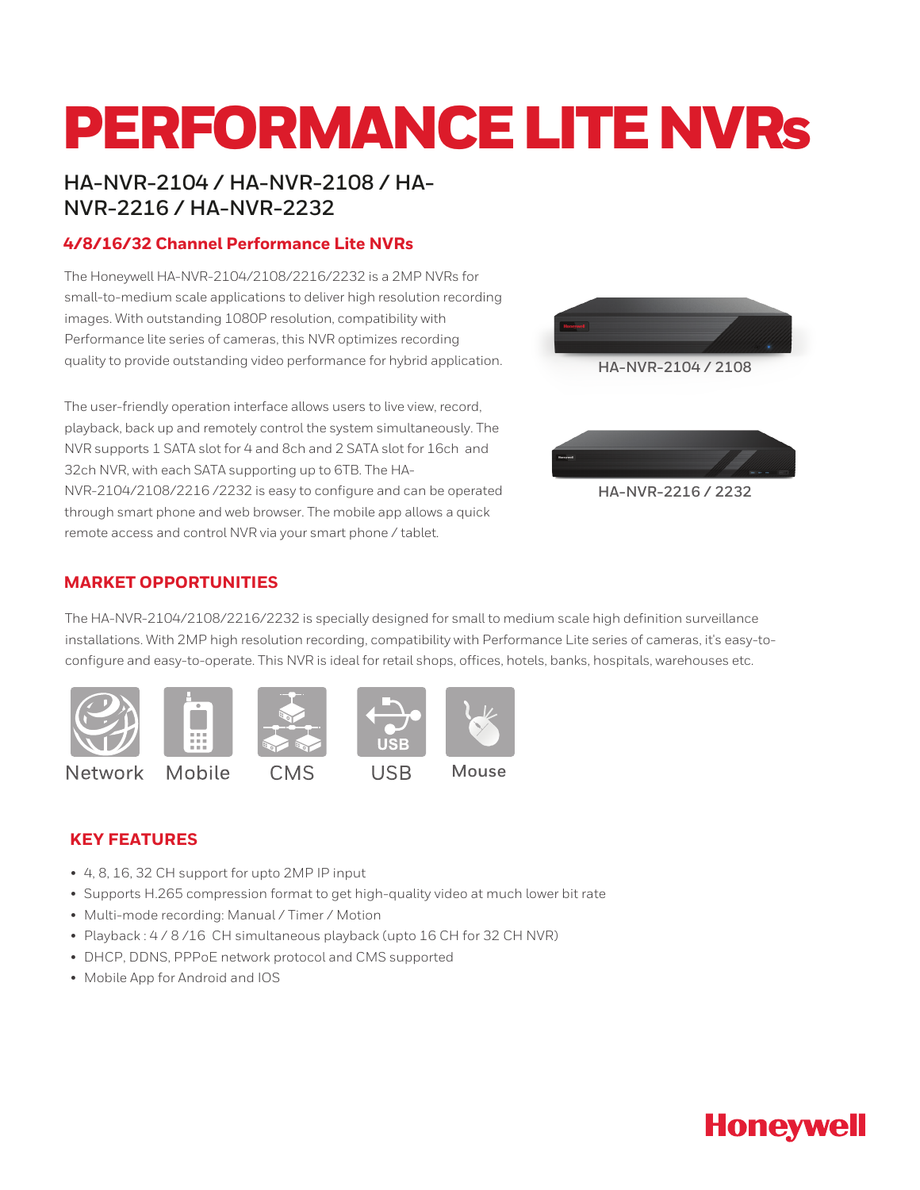# PERFORMANCE LITE NVRs

## **HA-NVR-2104 / HA-NVR-2108 / HA-NVR-2216 / HA-NVR-2232**

## **4/8/16/32 Channel Performance Lite NVRs**

The Honeywell HA-NVR-2104/2108/2216/2232 is a 2MP NVRs for small-to-medium scale applications to deliver high resolution recording images. With outstanding 1080P resolution, compatibility with Performance lite series of cameras, this NVR optimizes recording quality to provide outstanding video performance for hybrid application.

The user-friendly operation interface allows users to live view, record, playback, back up and remotely control the system simultaneously. The NVR supports 1 SATA slot for 4 and 8ch and 2 SATA slot for 16ch and 32ch NVR, with each SATA supporting up to 6TB. The HA-NVR-2104/2108/2216 /2232 is easy to configure and can be operated through smart phone and web browser. The mobile app allows a quick remote access and control NVR via your smart phone / tablet.



**HA-NVR-2104 / 2108**



## **MARKET OPPORTUNITIES**

The HA-NVR-2104/2108/2216/2232 is specially designed for small to medium scale high definition surveillance installations. With 2MP high resolution recording, compatibility with Performance Lite series of cameras, it's easy-toconfigure and easy-to-operate. This NVR is ideal for retail shops, offices, hotels, banks, hospitals, warehouses etc.



## **KEY FEATURES**

- 4, 8, 16, 32 CH support for upto 2MP IP input
- Supports H.265 compression format to get high-quality video at much lower bit rate
- Multi-mode recording: Manual / Timer / Motion
- Playback : 4 / 8 /16 CH simultaneous playback (upto 16 CH for 32 CH NVR)
- DHCP, DDNS, PPPoE network protocol and CMS supported
- Mobile App for Android and IOS

# **Honeywell**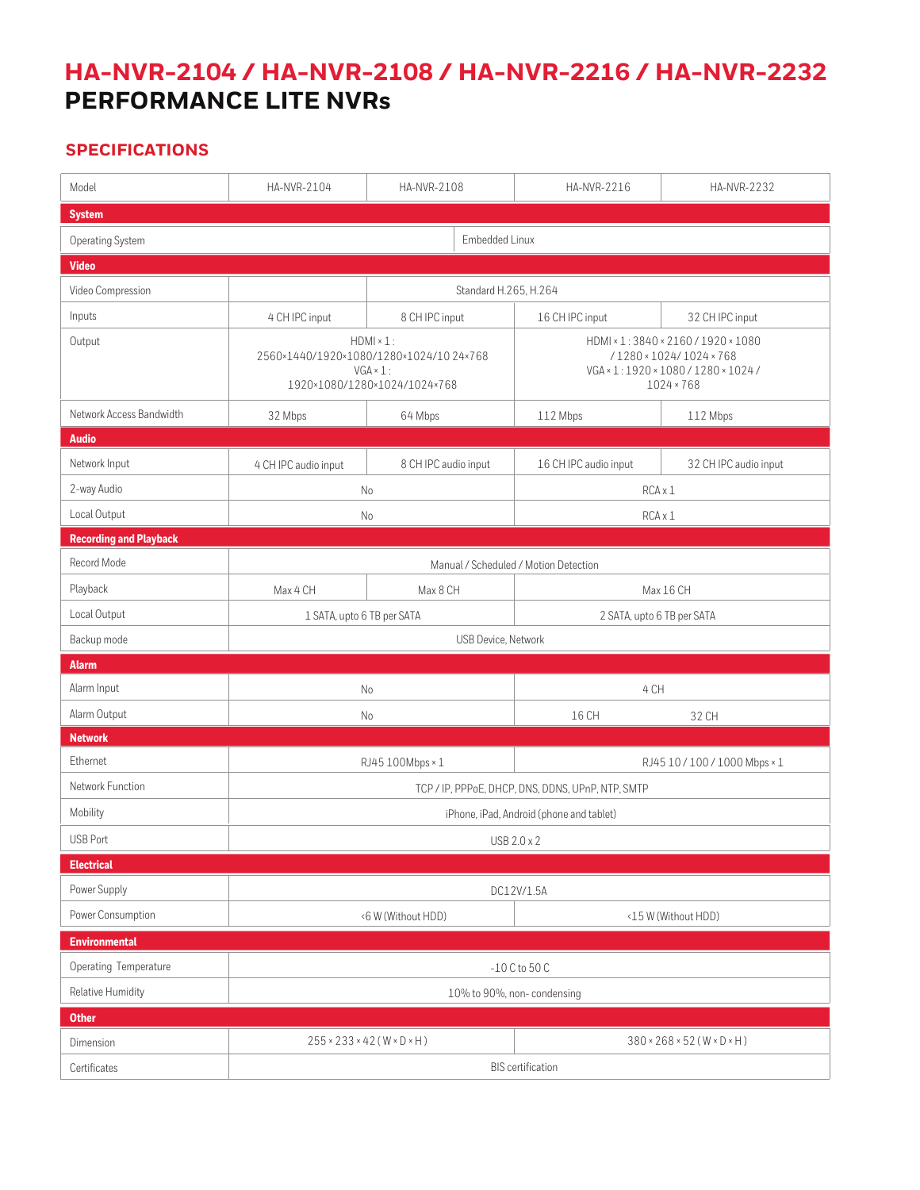# **HA-NVR-2104 / HA-NVR-2108 / HA-NVR-2216 / HA-NVR-2232 PERFORMANCE LITE NVRs**

## **SPECIFICATIONS**

| Model                         | HA-NVR-2104                                                                                                     | HA-NVR-2108          | HA-NVR-2216                                                                                                               | HA-NVR-2232           |  |
|-------------------------------|-----------------------------------------------------------------------------------------------------------------|----------------------|---------------------------------------------------------------------------------------------------------------------------|-----------------------|--|
| <b>System</b>                 |                                                                                                                 |                      |                                                                                                                           |                       |  |
| Operating System              | Embedded Linux                                                                                                  |                      |                                                                                                                           |                       |  |
| <b>Video</b>                  |                                                                                                                 |                      |                                                                                                                           |                       |  |
| Video Compression             | Standard H.265, H.264                                                                                           |                      |                                                                                                                           |                       |  |
| Inputs                        | 4 CH IPC input                                                                                                  | 8 CH IPC input       | 16 CH IPC input                                                                                                           | 32 CH IPC input       |  |
| Output                        | $HDMI \times 1$ :<br>2560×1440/1920×1080/1280×1024/1024×768<br>$VGA \times 1$ :<br>1920×1080/1280×1024/1024×768 |                      | HDMI × 1:3840 × 2160 / 1920 × 1080<br>/1280 × 1024/1024 × 768<br>VGA × 1:1920 × 1080 / 1280 × 1024 /<br>$1024 \times 768$ |                       |  |
| Network Access Bandwidth      | 32 Mbps                                                                                                         | 64 Mbps              | 112 Mbps                                                                                                                  | 112 Mbps              |  |
| <b>Audio</b>                  |                                                                                                                 |                      |                                                                                                                           |                       |  |
| Network Input                 | 4 CH IPC audio input                                                                                            | 8 CH IPC audio input | 16 CH IPC audio input                                                                                                     | 32 CH IPC audio input |  |
| 2-way Audio                   | No                                                                                                              |                      | RCA x 1                                                                                                                   |                       |  |
| Local Output                  | No                                                                                                              |                      | RCA x 1                                                                                                                   |                       |  |
| <b>Recording and Playback</b> |                                                                                                                 |                      |                                                                                                                           |                       |  |
| Record Mode                   | Manual / Scheduled / Motion Detection                                                                           |                      |                                                                                                                           |                       |  |
| Playback                      | Max 4 CH                                                                                                        | Max 8 CH             |                                                                                                                           | Max 16 CH             |  |
| Local Output                  | 1 SATA, upto 6 TB per SATA                                                                                      |                      | 2 SATA, upto 6 TB per SATA                                                                                                |                       |  |
| Backup mode                   | USB Device, Network                                                                                             |                      |                                                                                                                           |                       |  |
| <b>Alarm</b>                  |                                                                                                                 |                      |                                                                                                                           |                       |  |
| Alarm Input                   | N <sub>o</sub>                                                                                                  |                      | 4 CH                                                                                                                      |                       |  |
| Alarm Output                  | No                                                                                                              |                      | 16 CH                                                                                                                     | 32 CH                 |  |
| <b>Network</b>                |                                                                                                                 |                      |                                                                                                                           |                       |  |
| Ethernet                      | RJ45 100Mbps × 1                                                                                                |                      | RJ45 10 / 100 / 1000 Mbps × 1                                                                                             |                       |  |
| Network Function              | TCP / IP, PPPoE, DHCP, DNS, DDNS, UPnP, NTP, SMTP                                                               |                      |                                                                                                                           |                       |  |
| Mobility                      | iPhone, iPad, Android (phone and tablet)                                                                        |                      |                                                                                                                           |                       |  |
| <b>USB Port</b>               | USB 2.0 x 2                                                                                                     |                      |                                                                                                                           |                       |  |
| <b>Electrical</b>             |                                                                                                                 |                      |                                                                                                                           |                       |  |
| Power Supply                  | DC12V/1.5A                                                                                                      |                      |                                                                                                                           |                       |  |
| Power Consumption             | <6 W (Without HDD)                                                                                              |                      | <15 W (Without HDD)                                                                                                       |                       |  |
| <b>Environmental</b>          |                                                                                                                 |                      |                                                                                                                           |                       |  |
| Operating Temperature         | $-10$ C to 50 C                                                                                                 |                      |                                                                                                                           |                       |  |
| Relative Humidity             | 10% to 90%, non-condensing                                                                                      |                      |                                                                                                                           |                       |  |
| <b>Other</b>                  |                                                                                                                 |                      |                                                                                                                           |                       |  |
| Dimension                     | $255 \times 233 \times 42$ (W $\times$ D $\times$ H)                                                            |                      | $380 \times 268 \times 52$ (W $\times$ D $\times$ H)                                                                      |                       |  |
| Certificates                  | <b>BIS</b> certification                                                                                        |                      |                                                                                                                           |                       |  |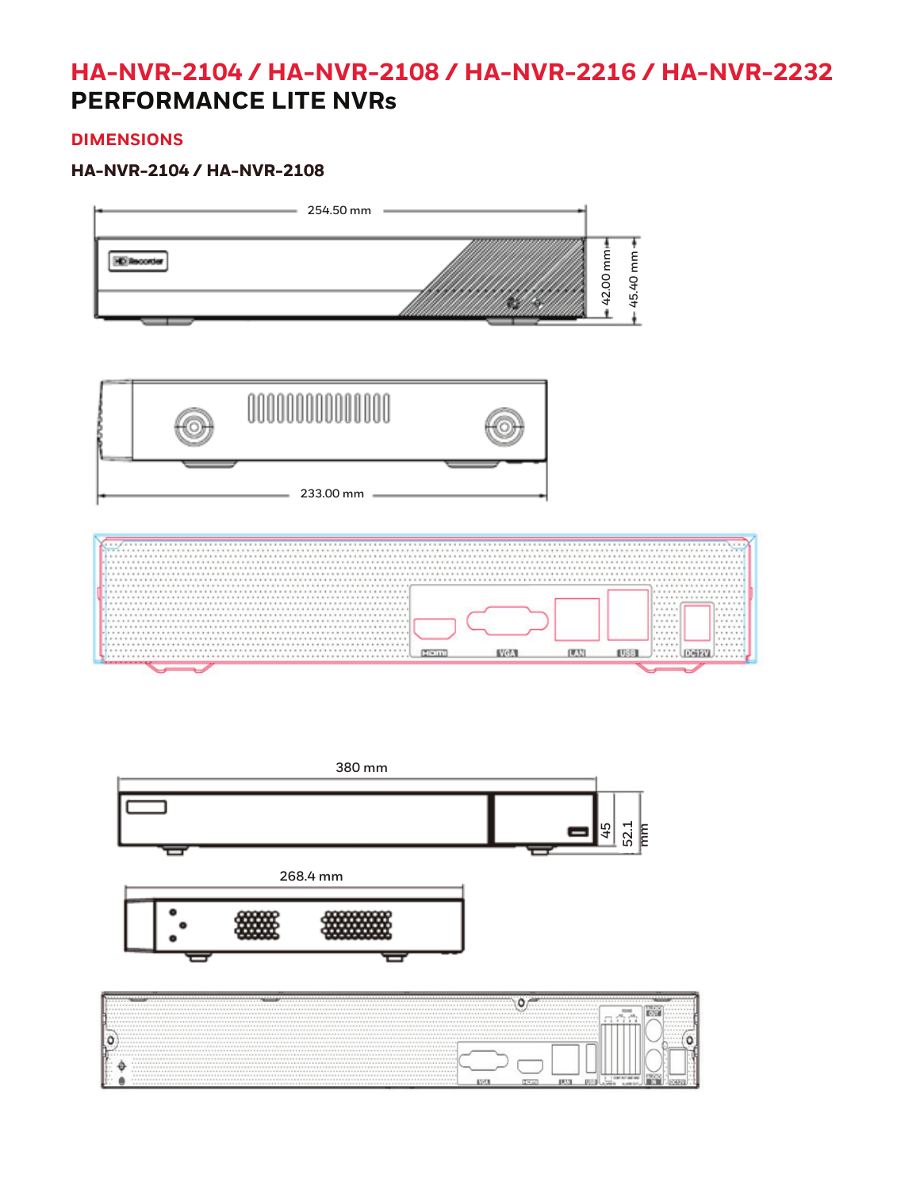## **HA-NVR-2104 / HA-NVR-2108 / HA-NVR-2216 / HA-NVR-2232 PERFORMANCE LITE NVRs**

## **DIMENSIONS**

## **HA-NVR-2104 / HA-NVR-2108**